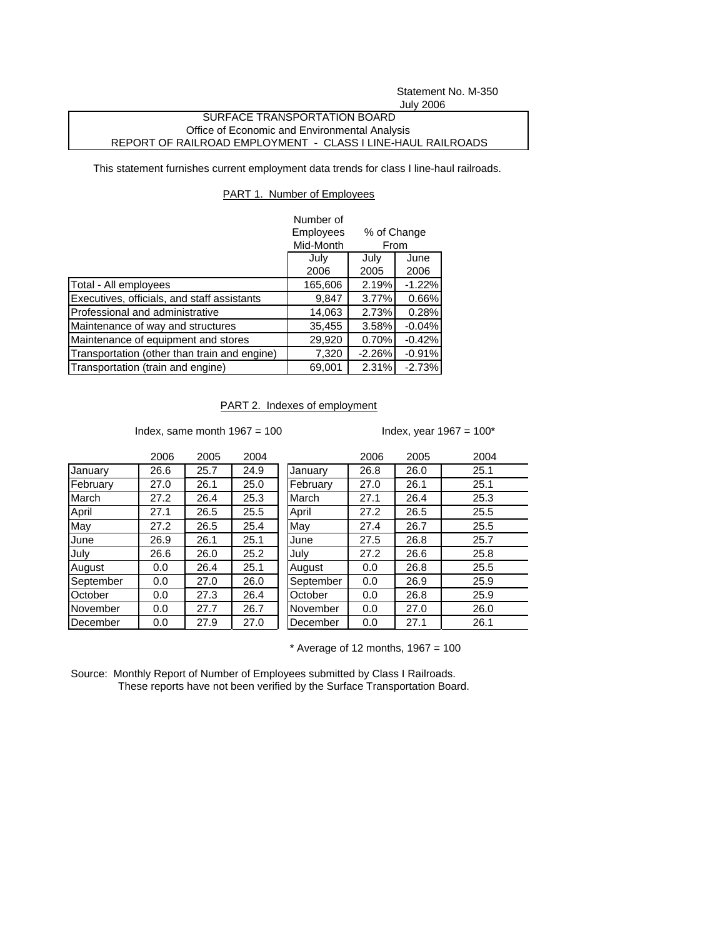Statement No. M-350 July 2006

## SURFACE TRANSPORTATION BOARD Office of Economic and Environmental Analysis REPORT OF RAILROAD EMPLOYMENT - CLASS I LINE-HAUL RAILROADS

This statement furnishes current employment data trends for class I line-haul railroads.

## PART 1. Number of Employees

|                                              | Number of |             |          |  |
|----------------------------------------------|-----------|-------------|----------|--|
|                                              | Employees | % of Change |          |  |
|                                              | Mid-Month | From        |          |  |
|                                              | July      | July        | June     |  |
|                                              | 2006      | 2005        | 2006     |  |
| Total - All employees                        | 165,606   | 2.19%       | $-1.22%$ |  |
| Executives, officials, and staff assistants  | 9,847     | 3.77%       | 0.66%    |  |
| Professional and administrative              | 14,063    | 2.73%       | 0.28%    |  |
| Maintenance of way and structures            | 35,455    | 3.58%       | $-0.04%$ |  |
| Maintenance of equipment and stores          | 29,920    | 0.70%       | $-0.42%$ |  |
| Transportation (other than train and engine) | 7,320     | $-2.26%$    | $-0.91%$ |  |
| Transportation (train and engine)            | 69,001    | 2.31%       | $-2.73%$ |  |

## PART 2. Indexes of employment

Index, same month  $1967 = 100$  Index, year  $1967 = 100*$ 

|           | 2006 | 2005 | 2004 |           | 2006 | 2005 | 2004 |
|-----------|------|------|------|-----------|------|------|------|
| January   | 26.6 | 25.7 | 24.9 | January   | 26.8 | 26.0 | 25.1 |
| February  | 27.0 | 26.1 | 25.0 | February  | 27.0 | 26.1 | 25.1 |
| March     | 27.2 | 26.4 | 25.3 | March     | 27.1 | 26.4 | 25.3 |
| April     | 27.1 | 26.5 | 25.5 | April     | 27.2 | 26.5 | 25.5 |
| May       | 27.2 | 26.5 | 25.4 | May       | 27.4 | 26.7 | 25.5 |
| June      | 26.9 | 26.1 | 25.1 | June      | 27.5 | 26.8 | 25.7 |
| July      | 26.6 | 26.0 | 25.2 | July      | 27.2 | 26.6 | 25.8 |
| August    | 0.0  | 26.4 | 25.1 | August    | 0.0  | 26.8 | 25.5 |
| September | 0.0  | 27.0 | 26.0 | September | 0.0  | 26.9 | 25.9 |
| October   | 0.0  | 27.3 | 26.4 | October   | 0.0  | 26.8 | 25.9 |
| November  | 0.0  | 27.7 | 26.7 | November  | 0.0  | 27.0 | 26.0 |
| December  | 0.0  | 27.9 | 27.0 | December  | 0.0  | 27.1 | 26.1 |
|           |      |      |      |           |      |      |      |

 $*$  Average of 12 months, 1967 = 100

Source: Monthly Report of Number of Employees submitted by Class I Railroads. These reports have not been verified by the Surface Transportation Board.